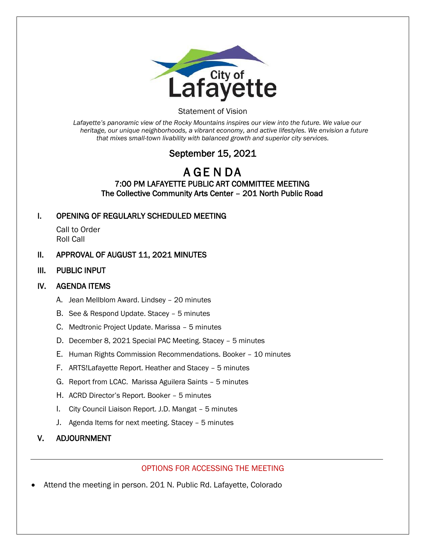

#### Statement of Vision

*Lafayette's panoramic view of the Rocky Mountains inspires our view into the future. We value our heritage, our unique neighborhoods, a vibrant economy, and active lifestyles. We envision a future that mixes small-town livability with balanced growth and superior city services.*

# September 15, 2021

## A GE N DA 7:00 PM LAFAYETTE PUBLIC ART COMMITTEE MEETING The Collective Community Arts Center – 201 North Public Road

## I. OPENING OF REGULARLY SCHEDULED MEETING

Call to Order Roll Call

### II. APPROVAL OF AUGUST 11, 2021 MINUTES

III. PUBLIC INPUT

### IV. AGENDA ITEMS

- A. Jean Mellblom Award. Lindsey 20 minutes
- B. See & Respond Update. Stacey 5 minutes
- C. Medtronic Project Update. Marissa 5 minutes
- D. December 8, 2021 Special PAC Meeting. Stacey 5 minutes
- E. Human Rights Commission Recommendations. Booker 10 minutes
- F. ARTS!Lafayette Report. Heather and Stacey 5 minutes
- G. Report from LCAC. Marissa Aguilera Saints 5 minutes
- H. ACRD Director's Report. Booker 5 minutes
- I. City Council Liaison Report. J.D. Mangat 5 minutes
- J. Agenda Items for next meeting. Stacey 5 minutes

#### V. ADJOURNMENT

#### OPTIONS FOR ACCESSING THE MEETING

• Attend the meeting in person. 201 N. Public Rd. Lafayette, Colorado